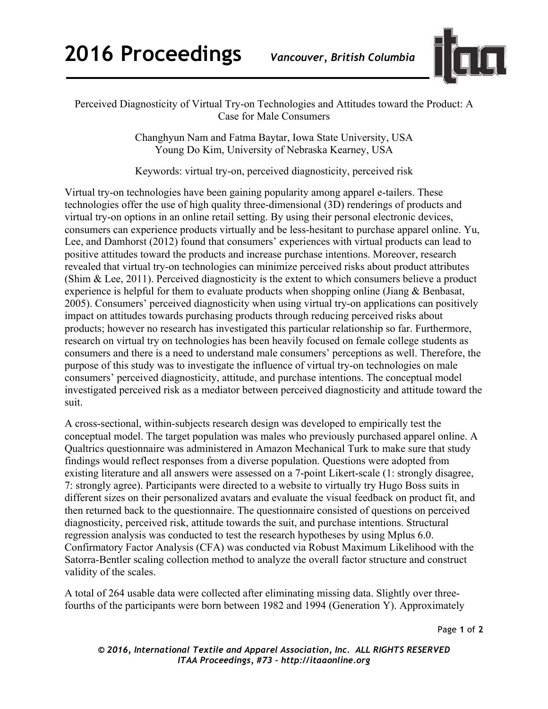

## Perceived Diagnosticity of Virtual Try-on Technologies and Attitudes toward the Product: A Case for Male Consumers

Changhyun Nam and Fatma Baytar, Iowa State University, USA Young Do Kim, University of Nebraska Kearney, USA

Keywords: virtual try-on, perceived diagnosticity, perceived risk

Virtual try-on technologies have been gaining popularity among apparel e-tailers. These technologies offer the use of high quality three-dimensional (3D) renderings of products and virtual try-on options in an online retail setting. By using their personal electronic devices, consumers can experience products virtually and be less-hesitant to purchase apparel online. Yu, Lee, and Damhorst (2012) found that consumers' experiences with virtual products can lead to positive attitudes toward the products and increase purchase intentions. Moreover, research revealed that virtual try-on technologies can minimize perceived risks about product attributes (Shim & Lee, 2011). Perceived diagnosticity is the extent to which consumers believe a product experience is helpful for them to evaluate products when shopping online (Jiang & Benbasat, 2005). Consumers' perceived diagnosticity when using virtual try-on applications can positively impact on attitudes towards purchasing products through reducing perceived risks about products; however no research has investigated this particular relationship so far. Furthermore, research on virtual try on technologies has been heavily focused on female college students as consumers and there is a need to understand male consumers' perceptions as well. Therefore, the purpose of this study was to investigate the influence of virtual try-on technologies on male consumers' perceived diagnosticity, attitude, and purchase intentions. The conceptual model investigated perceived risk as a mediator between perceived diagnosticity and attitude toward the suit.

A cross-sectional, within-subjects research design was developed to empirically test the conceptual model. The target population was males who previously purchased apparel online. A Qualtrics questionnaire was administered in Amazon Mechanical Turk to make sure that study findings would reflect responses from a diverse population. Questions were adopted from existing literature and all answers were assessed on a 7-point Likert-scale (1: strongly disagree, 7: strongly agree). Participants were directed to a website to virtually try Hugo Boss suits in different sizes on their personalized avatars and evaluate the visual feedback on product fit, and then returned back to the questionnaire. The questionnaire consisted of questions on perceived diagnosticity, perceived risk, attitude towards the suit, and purchase intentions. Structural regression analysis was conducted to test the research hypotheses by using Mplus 6.0. Confirmatory Factor Analysis (CFA) was conducted via Robust Maximum Likelihood with the Satorra-Bentler scaling collection method to analyze the overall factor structure and construct validity of the scales.

A total of 264 usable data were collected after eliminating missing data. Slightly over threefourths of the participants were born between 1982 and 1994 (Generation Y). Approximately